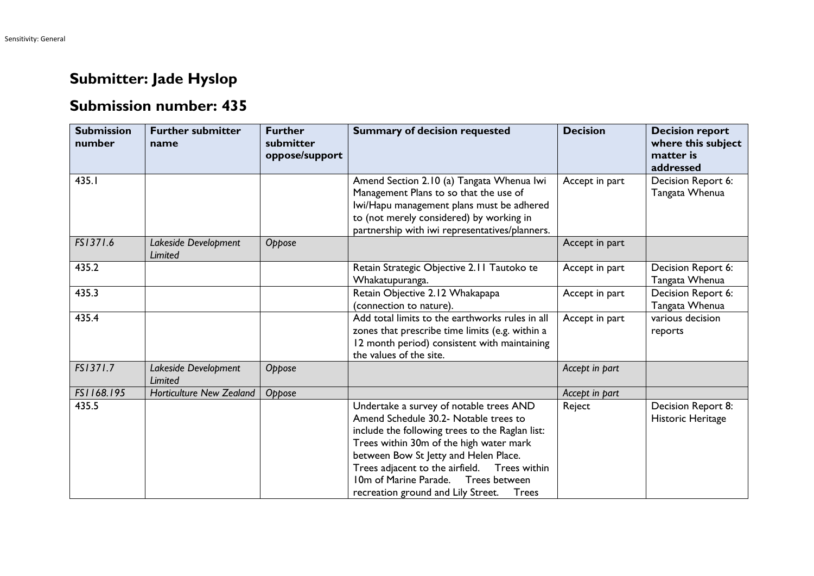## **Submitter: Jade Hyslop**

## **Submission number: 435**

| <b>Submission</b><br>number | <b>Further submitter</b><br>name | <b>Further</b><br>submitter<br>oppose/support | <b>Summary of decision requested</b>                                                                                                                                                                                                                                                                                                                        | <b>Decision</b> | <b>Decision report</b><br>where this subject<br>matter is<br>addressed |
|-----------------------------|----------------------------------|-----------------------------------------------|-------------------------------------------------------------------------------------------------------------------------------------------------------------------------------------------------------------------------------------------------------------------------------------------------------------------------------------------------------------|-----------------|------------------------------------------------------------------------|
| 435.I                       |                                  |                                               | Amend Section 2.10 (a) Tangata Whenua Iwi<br>Management Plans to so that the use of<br>Iwi/Hapu management plans must be adhered<br>to (not merely considered) by working in<br>partnership with iwi representatives/planners.                                                                                                                              | Accept in part  | Decision Report 6:<br>Tangata Whenua                                   |
| FS1371.6                    | Lakeside Development<br>Limited  | Oppose                                        |                                                                                                                                                                                                                                                                                                                                                             | Accept in part  |                                                                        |
| 435.2                       |                                  |                                               | Retain Strategic Objective 2.11 Tautoko te<br>Whakatupuranga.                                                                                                                                                                                                                                                                                               | Accept in part  | Decision Report 6:<br>Tangata Whenua                                   |
| 435.3                       |                                  |                                               | Retain Objective 2.12 Whakapapa<br>(connection to nature).                                                                                                                                                                                                                                                                                                  | Accept in part  | Decision Report 6:<br>Tangata Whenua                                   |
| 435.4                       |                                  |                                               | Add total limits to the earthworks rules in all<br>zones that prescribe time limits (e.g. within a<br>12 month period) consistent with maintaining<br>the values of the site.                                                                                                                                                                               | Accept in part  | various decision<br>reports                                            |
| FS1371.7                    | Lakeside Development<br>Limited  | Oppose                                        |                                                                                                                                                                                                                                                                                                                                                             | Accept in part  |                                                                        |
| FS1168.195                  | <b>Horticulture New Zealand</b>  | Oppose                                        |                                                                                                                                                                                                                                                                                                                                                             | Accept in part  |                                                                        |
| 435.5                       |                                  |                                               | Undertake a survey of notable trees AND<br>Amend Schedule 30.2- Notable trees to<br>include the following trees to the Raglan list:<br>Trees within 30m of the high water mark<br>between Bow St Jetty and Helen Place.<br>Trees adjacent to the airfield.  Trees within<br>10m of Marine Parade. Trees between<br>recreation ground and Lily Street. Trees | Reject          | Decision Report 8:<br>Historic Heritage                                |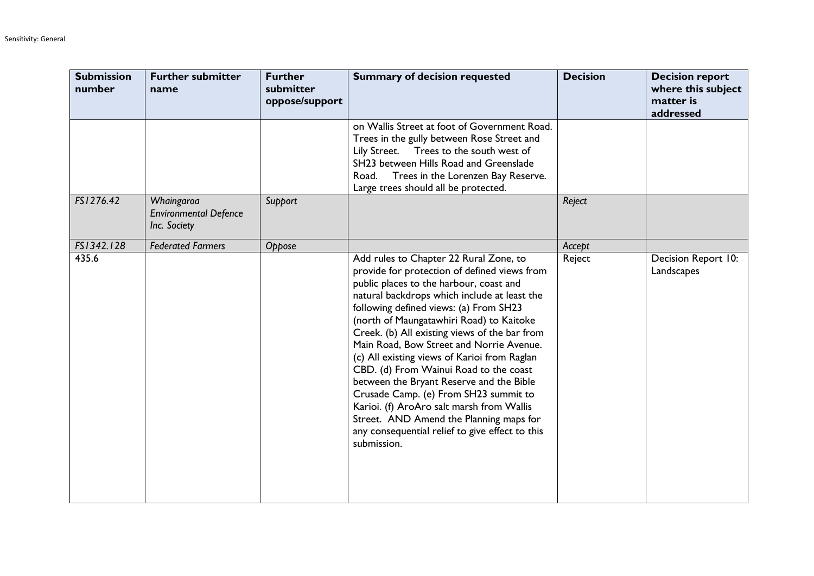| <b>Submission</b><br>number | <b>Further submitter</b><br>name                           | <b>Further</b><br>submitter<br>oppose/support | <b>Summary of decision requested</b>                                                                                                                                                                                                                                                                                                                                                                                                                                                                                                                                                                                                                                                                          | <b>Decision</b> | <b>Decision report</b><br>where this subject<br>matter is<br>addressed |
|-----------------------------|------------------------------------------------------------|-----------------------------------------------|---------------------------------------------------------------------------------------------------------------------------------------------------------------------------------------------------------------------------------------------------------------------------------------------------------------------------------------------------------------------------------------------------------------------------------------------------------------------------------------------------------------------------------------------------------------------------------------------------------------------------------------------------------------------------------------------------------------|-----------------|------------------------------------------------------------------------|
|                             |                                                            |                                               | on Wallis Street at foot of Government Road.<br>Trees in the gully between Rose Street and<br>Lily Street.<br>Trees to the south west of<br>SH23 between Hills Road and Greenslade<br>Road. Trees in the Lorenzen Bay Reserve.<br>Large trees should all be protected.                                                                                                                                                                                                                                                                                                                                                                                                                                        |                 |                                                                        |
| FS1276.42                   | Whaingaroa<br><b>Environmental Defence</b><br>Inc. Society | Support                                       |                                                                                                                                                                                                                                                                                                                                                                                                                                                                                                                                                                                                                                                                                                               | Reject          |                                                                        |
| FS1342.128                  | <b>Federated Farmers</b>                                   | Oppose                                        |                                                                                                                                                                                                                                                                                                                                                                                                                                                                                                                                                                                                                                                                                                               | Accept          |                                                                        |
| 435.6                       |                                                            |                                               | Add rules to Chapter 22 Rural Zone, to<br>provide for protection of defined views from<br>public places to the harbour, coast and<br>natural backdrops which include at least the<br>following defined views: (a) From SH23<br>(north of Maungatawhiri Road) to Kaitoke<br>Creek. (b) All existing views of the bar from<br>Main Road, Bow Street and Norrie Avenue.<br>(c) All existing views of Karioi from Raglan<br>CBD. (d) From Wainui Road to the coast<br>between the Bryant Reserve and the Bible<br>Crusade Camp. (e) From SH23 summit to<br>Karioi. (f) AroAro salt marsh from Wallis<br>Street. AND Amend the Planning maps for<br>any consequential relief to give effect to this<br>submission. | Reject          | Decision Report 10:<br>Landscapes                                      |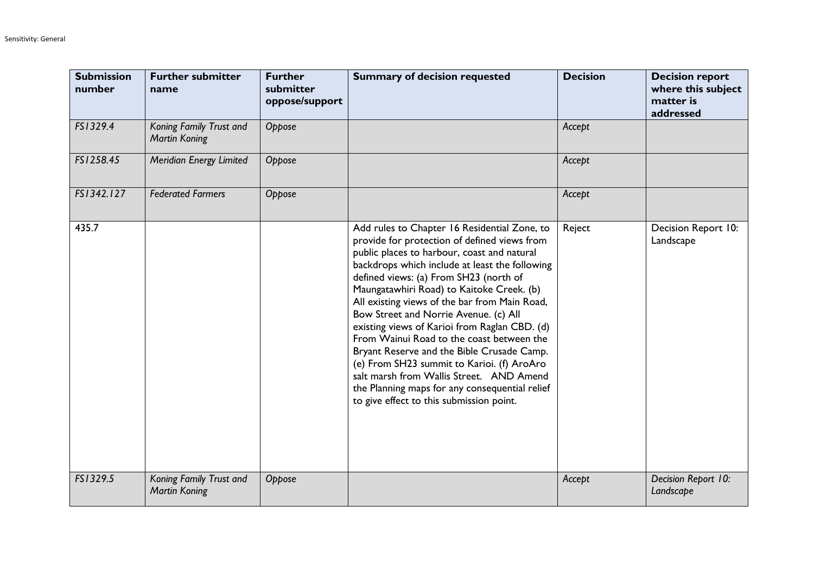| <b>Submission</b><br>number | <b>Further submitter</b><br>name                | <b>Further</b><br>submitter<br>oppose/support | <b>Summary of decision requested</b>                                                                                                                                                                                                                                                                                                                                                                                                                                                                                                                                                                                                                                                                               | <b>Decision</b> | <b>Decision report</b><br>where this subject<br>matter is<br>addressed |
|-----------------------------|-------------------------------------------------|-----------------------------------------------|--------------------------------------------------------------------------------------------------------------------------------------------------------------------------------------------------------------------------------------------------------------------------------------------------------------------------------------------------------------------------------------------------------------------------------------------------------------------------------------------------------------------------------------------------------------------------------------------------------------------------------------------------------------------------------------------------------------------|-----------------|------------------------------------------------------------------------|
| FS1329.4                    | Koning Family Trust and<br><b>Martin Koning</b> | Oppose                                        |                                                                                                                                                                                                                                                                                                                                                                                                                                                                                                                                                                                                                                                                                                                    | Accept          |                                                                        |
| FS1258.45                   | Meridian Energy Limited                         | Oppose                                        |                                                                                                                                                                                                                                                                                                                                                                                                                                                                                                                                                                                                                                                                                                                    | Accept          |                                                                        |
| FS1342.127                  | <b>Federated Farmers</b>                        | Oppose                                        |                                                                                                                                                                                                                                                                                                                                                                                                                                                                                                                                                                                                                                                                                                                    | Accept          |                                                                        |
| 435.7                       |                                                 |                                               | Add rules to Chapter 16 Residential Zone, to<br>provide for protection of defined views from<br>public places to harbour, coast and natural<br>backdrops which include at least the following<br>defined views: (a) From SH23 (north of<br>Maungatawhiri Road) to Kaitoke Creek. (b)<br>All existing views of the bar from Main Road,<br>Bow Street and Norrie Avenue. (c) All<br>existing views of Karioi from Raglan CBD. (d)<br>From Wainui Road to the coast between the<br>Bryant Reserve and the Bible Crusade Camp.<br>(e) From SH23 summit to Karioi. (f) AroAro<br>salt marsh from Wallis Street. AND Amend<br>the Planning maps for any consequential relief<br>to give effect to this submission point. | Reject          | Decision Report 10:<br>Landscape                                       |
| FS1329.5                    | Koning Family Trust and<br><b>Martin Koning</b> | Oppose                                        |                                                                                                                                                                                                                                                                                                                                                                                                                                                                                                                                                                                                                                                                                                                    | Accept          | Decision Report 10:<br>Landscape                                       |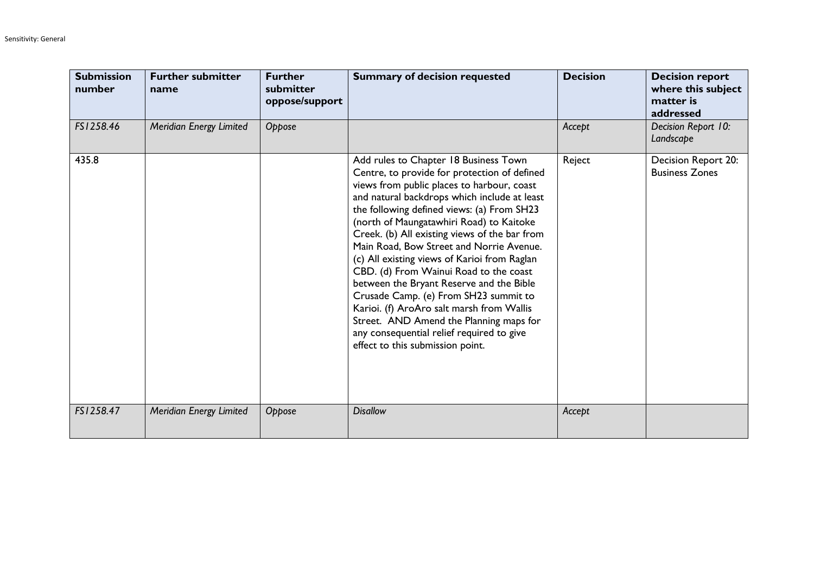| <b>Submission</b><br>number | <b>Further submitter</b><br>name | <b>Further</b><br>submitter<br>oppose/support | <b>Summary of decision requested</b>                                                                                                                                                                                                                                                                                                                                                                                                                                                                                                                                                                                                                                                                                               | <b>Decision</b> | <b>Decision report</b><br>where this subject<br>matter is<br>addressed |
|-----------------------------|----------------------------------|-----------------------------------------------|------------------------------------------------------------------------------------------------------------------------------------------------------------------------------------------------------------------------------------------------------------------------------------------------------------------------------------------------------------------------------------------------------------------------------------------------------------------------------------------------------------------------------------------------------------------------------------------------------------------------------------------------------------------------------------------------------------------------------------|-----------------|------------------------------------------------------------------------|
| FS1258.46                   | Meridian Energy Limited          | Oppose                                        |                                                                                                                                                                                                                                                                                                                                                                                                                                                                                                                                                                                                                                                                                                                                    | Accept          | Decision Report 10:<br>Landscape                                       |
| 435.8                       |                                  |                                               | Add rules to Chapter 18 Business Town<br>Centre, to provide for protection of defined<br>views from public places to harbour, coast<br>and natural backdrops which include at least<br>the following defined views: (a) From SH23<br>(north of Maungatawhiri Road) to Kaitoke<br>Creek. (b) All existing views of the bar from<br>Main Road, Bow Street and Norrie Avenue.<br>(c) All existing views of Karioi from Raglan<br>CBD. (d) From Wainui Road to the coast<br>between the Bryant Reserve and the Bible<br>Crusade Camp. (e) From SH23 summit to<br>Karioi. (f) AroAro salt marsh from Wallis<br>Street. AND Amend the Planning maps for<br>any consequential relief required to give<br>effect to this submission point. | Reject          | Decision Report 20:<br><b>Business Zones</b>                           |
| FS1258.47                   | Meridian Energy Limited          | Oppose                                        | <b>Disallow</b>                                                                                                                                                                                                                                                                                                                                                                                                                                                                                                                                                                                                                                                                                                                    | Accept          |                                                                        |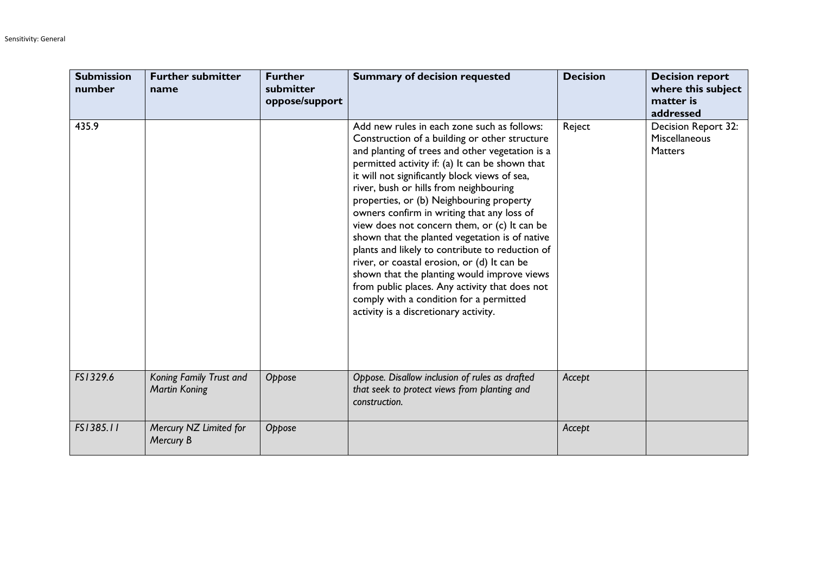| <b>Submission</b><br>number | <b>Further submitter</b><br>name                | <b>Further</b><br>submitter<br>oppose/support | <b>Summary of decision requested</b>                                                                                                                                                                                                                                                                                                                                                                                                                                                                                                                                                                                                                                                                                                                                             | <b>Decision</b> | <b>Decision report</b><br>where this subject<br>matter is<br>addressed |
|-----------------------------|-------------------------------------------------|-----------------------------------------------|----------------------------------------------------------------------------------------------------------------------------------------------------------------------------------------------------------------------------------------------------------------------------------------------------------------------------------------------------------------------------------------------------------------------------------------------------------------------------------------------------------------------------------------------------------------------------------------------------------------------------------------------------------------------------------------------------------------------------------------------------------------------------------|-----------------|------------------------------------------------------------------------|
| 435.9                       |                                                 |                                               | Add new rules in each zone such as follows:<br>Construction of a building or other structure<br>and planting of trees and other vegetation is a<br>permitted activity if: (a) It can be shown that<br>it will not significantly block views of sea,<br>river, bush or hills from neighbouring<br>properties, or (b) Neighbouring property<br>owners confirm in writing that any loss of<br>view does not concern them, or (c) It can be<br>shown that the planted vegetation is of native<br>plants and likely to contribute to reduction of<br>river, or coastal erosion, or (d) It can be<br>shown that the planting would improve views<br>from public places. Any activity that does not<br>comply with a condition for a permitted<br>activity is a discretionary activity. | Reject          | Decision Report 32:<br><b>Miscellaneous</b><br><b>Matters</b>          |
| FS1329.6                    | Koning Family Trust and<br><b>Martin Koning</b> | Oppose                                        | Oppose. Disallow inclusion of rules as drafted<br>that seek to protect views from planting and<br>construction.                                                                                                                                                                                                                                                                                                                                                                                                                                                                                                                                                                                                                                                                  | Accept          |                                                                        |
| FS1385.11                   | Mercury NZ Limited for<br>Mercury B             | Oppose                                        |                                                                                                                                                                                                                                                                                                                                                                                                                                                                                                                                                                                                                                                                                                                                                                                  | Accept          |                                                                        |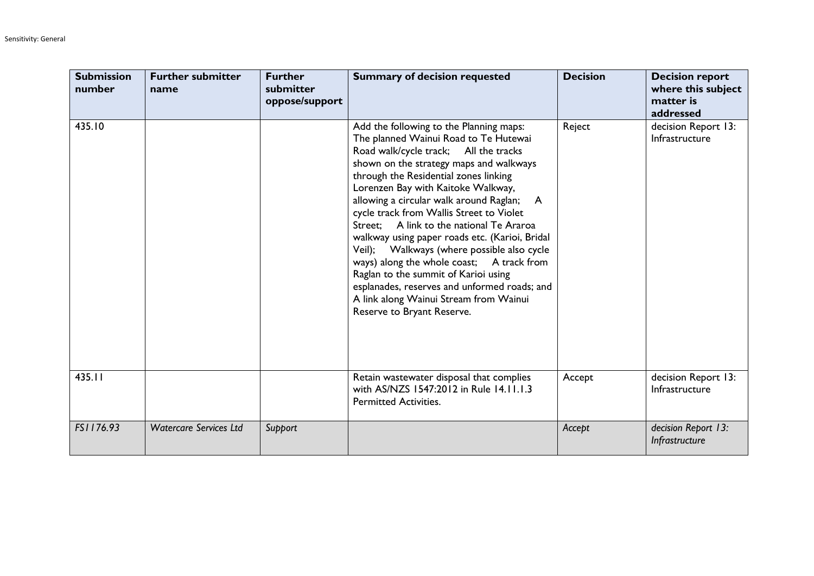| <b>Submission</b><br>number | <b>Further submitter</b><br>name | <b>Further</b><br>submitter<br>oppose/support | <b>Summary of decision requested</b>                                                                                                                                                                                                                                                                                                                                                                                                                                                                                                                                                                                                                                                                     | <b>Decision</b> | <b>Decision report</b><br>where this subject<br>matter is<br>addressed |
|-----------------------------|----------------------------------|-----------------------------------------------|----------------------------------------------------------------------------------------------------------------------------------------------------------------------------------------------------------------------------------------------------------------------------------------------------------------------------------------------------------------------------------------------------------------------------------------------------------------------------------------------------------------------------------------------------------------------------------------------------------------------------------------------------------------------------------------------------------|-----------------|------------------------------------------------------------------------|
| 435.10                      |                                  |                                               | Add the following to the Planning maps:<br>The planned Wainui Road to Te Hutewai<br>Road walk/cycle track; All the tracks<br>shown on the strategy maps and walkways<br>through the Residential zones linking<br>Lorenzen Bay with Kaitoke Walkway,<br>allowing a circular walk around Raglan;<br>A<br>cycle track from Wallis Street to Violet<br>Street: A link to the national Te Araroa<br>walkway using paper roads etc. (Karioi, Bridal<br>Veil); Walkways (where possible also cycle<br>ways) along the whole coast; A track from<br>Raglan to the summit of Karioi using<br>esplanades, reserves and unformed roads; and<br>A link along Wainui Stream from Wainui<br>Reserve to Bryant Reserve. | Reject          | decision Report 13:<br>Infrastructure                                  |
| 435.11                      |                                  |                                               | Retain wastewater disposal that complies<br>with AS/NZS 1547:2012 in Rule 14.11.1.3<br><b>Permitted Activities.</b>                                                                                                                                                                                                                                                                                                                                                                                                                                                                                                                                                                                      | Accept          | decision Report 13:<br>Infrastructure                                  |
| FS1176.93                   | <b>Watercare Services Ltd</b>    | Support                                       |                                                                                                                                                                                                                                                                                                                                                                                                                                                                                                                                                                                                                                                                                                          | Accept          | decision Report 13:<br>Infrastructure                                  |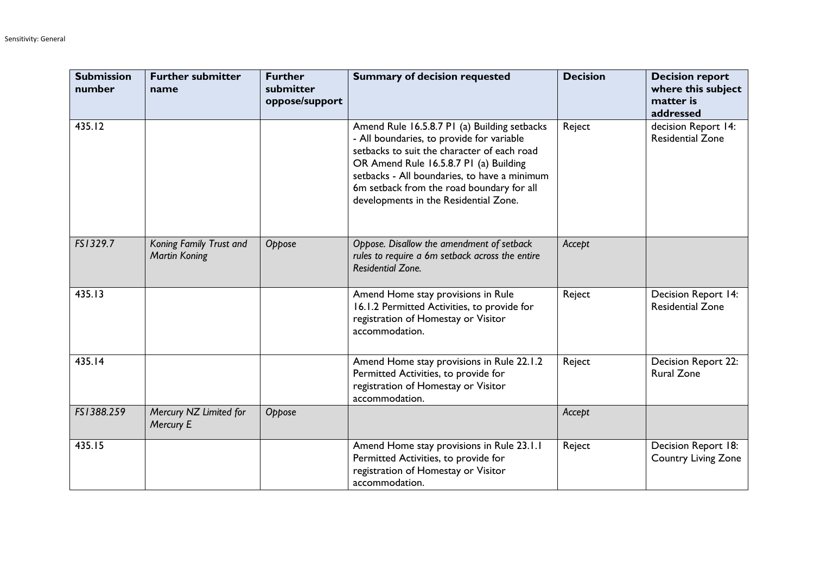| <b>Submission</b><br>number | <b>Further submitter</b><br>name                | <b>Further</b><br>submitter<br>oppose/support | <b>Summary of decision requested</b>                                                                                                                                                                                                                                                                                     | <b>Decision</b> | <b>Decision report</b><br>where this subject<br>matter is<br>addressed |
|-----------------------------|-------------------------------------------------|-----------------------------------------------|--------------------------------------------------------------------------------------------------------------------------------------------------------------------------------------------------------------------------------------------------------------------------------------------------------------------------|-----------------|------------------------------------------------------------------------|
| 435.12                      |                                                 |                                               | Amend Rule 16.5.8.7 P1 (a) Building setbacks<br>- All boundaries, to provide for variable<br>setbacks to suit the character of each road<br>OR Amend Rule 16.5.8.7 P1 (a) Building<br>setbacks - All boundaries, to have a minimum<br>6m setback from the road boundary for all<br>developments in the Residential Zone. | Reject          | decision Report 14:<br><b>Residential Zone</b>                         |
| FS1329.7                    | Koning Family Trust and<br><b>Martin Koning</b> | Oppose                                        | Oppose. Disallow the amendment of setback<br>rules to require a 6m setback across the entire<br><b>Residential Zone.</b>                                                                                                                                                                                                 | Accept          |                                                                        |
| 435.13                      |                                                 |                                               | Amend Home stay provisions in Rule<br>16.1.2 Permitted Activities, to provide for<br>registration of Homestay or Visitor<br>accommodation.                                                                                                                                                                               | Reject          | <b>Decision Report 14:</b><br><b>Residential Zone</b>                  |
| 435.14                      |                                                 |                                               | Amend Home stay provisions in Rule 22.1.2<br>Permitted Activities, to provide for<br>registration of Homestay or Visitor<br>accommodation.                                                                                                                                                                               | Reject          | Decision Report 22:<br><b>Rural Zone</b>                               |
| FS1388.259                  | Mercury NZ Limited for<br>Mercury E             | Oppose                                        |                                                                                                                                                                                                                                                                                                                          | Accept          |                                                                        |
| 435.15                      |                                                 |                                               | Amend Home stay provisions in Rule 23.1.1<br>Permitted Activities, to provide for<br>registration of Homestay or Visitor<br>accommodation.                                                                                                                                                                               | Reject          | Decision Report 18:<br><b>Country Living Zone</b>                      |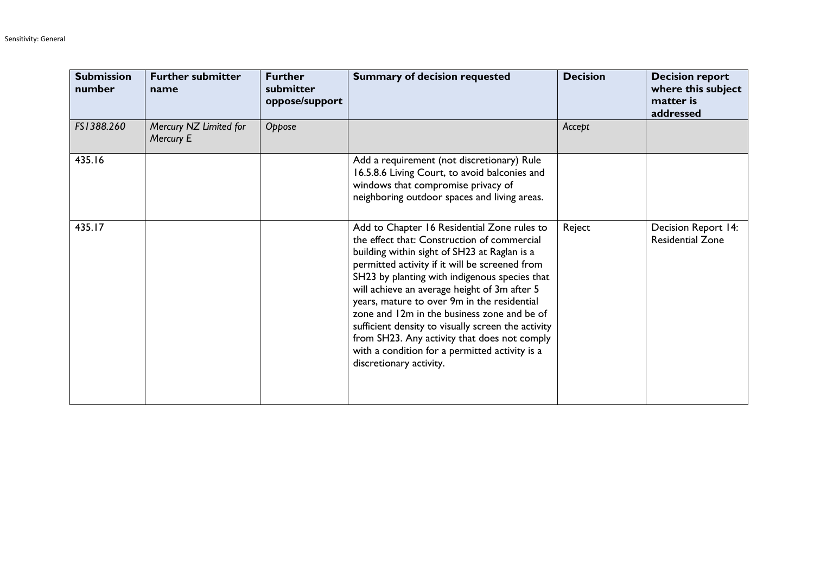| <b>Submission</b><br>number | <b>Further submitter</b><br>name    | <b>Further</b><br>submitter<br>oppose/support | <b>Summary of decision requested</b>                                                                                                                                                                                                                                                                                                                                                                                                                                                                                                                                           | <b>Decision</b> | <b>Decision report</b><br>where this subject<br>matter is<br>addressed |
|-----------------------------|-------------------------------------|-----------------------------------------------|--------------------------------------------------------------------------------------------------------------------------------------------------------------------------------------------------------------------------------------------------------------------------------------------------------------------------------------------------------------------------------------------------------------------------------------------------------------------------------------------------------------------------------------------------------------------------------|-----------------|------------------------------------------------------------------------|
| FS1388.260                  | Mercury NZ Limited for<br>Mercury E | Oppose                                        |                                                                                                                                                                                                                                                                                                                                                                                                                                                                                                                                                                                | Accept          |                                                                        |
| 435.16                      |                                     |                                               | Add a requirement (not discretionary) Rule<br>16.5.8.6 Living Court, to avoid balconies and<br>windows that compromise privacy of<br>neighboring outdoor spaces and living areas.                                                                                                                                                                                                                                                                                                                                                                                              |                 |                                                                        |
| 435.17                      |                                     |                                               | Add to Chapter 16 Residential Zone rules to<br>the effect that: Construction of commercial<br>building within sight of SH23 at Raglan is a<br>permitted activity if it will be screened from<br>SH23 by planting with indigenous species that<br>will achieve an average height of 3m after 5<br>years, mature to over 9m in the residential<br>zone and 12m in the business zone and be of<br>sufficient density to visually screen the activity<br>from SH23. Any activity that does not comply<br>with a condition for a permitted activity is a<br>discretionary activity. | Reject          | Decision Report 14:<br><b>Residential Zone</b>                         |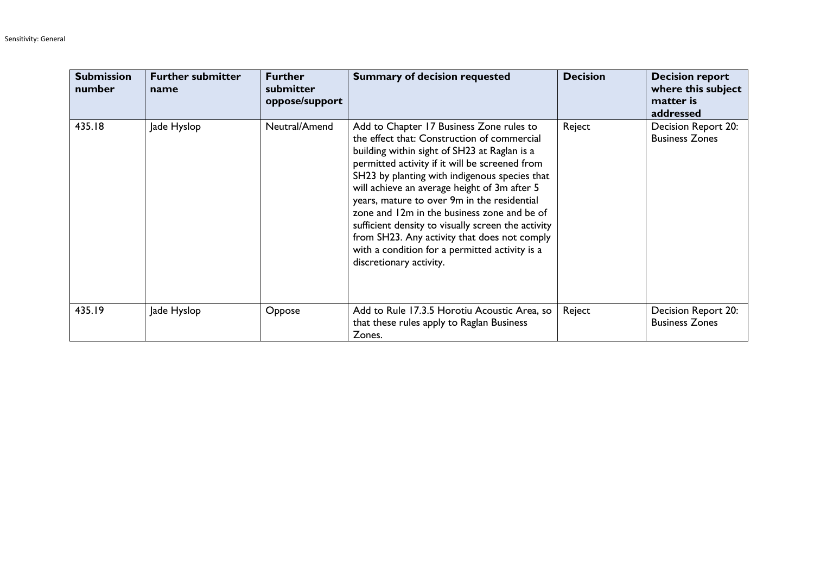| <b>Submission</b><br>number | <b>Further submitter</b><br>name | <b>Further</b><br>submitter<br>oppose/support | <b>Summary of decision requested</b>                                                                                                                                                                                                                                                                                                                                                                                                                                                                                                                                        | <b>Decision</b> | <b>Decision report</b><br>where this subject<br>matter is<br>addressed |
|-----------------------------|----------------------------------|-----------------------------------------------|-----------------------------------------------------------------------------------------------------------------------------------------------------------------------------------------------------------------------------------------------------------------------------------------------------------------------------------------------------------------------------------------------------------------------------------------------------------------------------------------------------------------------------------------------------------------------------|-----------------|------------------------------------------------------------------------|
| 435.18                      | Jade Hyslop                      | Neutral/Amend                                 | Add to Chapter 17 Business Zone rules to<br>the effect that: Construction of commercial<br>building within sight of SH23 at Raglan is a<br>permitted activity if it will be screened from<br>SH23 by planting with indigenous species that<br>will achieve an average height of 3m after 5<br>years, mature to over 9m in the residential<br>zone and 12m in the business zone and be of<br>sufficient density to visually screen the activity<br>from SH23. Any activity that does not comply<br>with a condition for a permitted activity is a<br>discretionary activity. | Reject          | Decision Report 20:<br><b>Business Zones</b>                           |
| 435.19                      | Jade Hyslop                      | Oppose                                        | Add to Rule 17.3.5 Horotiu Acoustic Area, so<br>that these rules apply to Raglan Business<br>Zones.                                                                                                                                                                                                                                                                                                                                                                                                                                                                         | Reject          | Decision Report 20:<br><b>Business Zones</b>                           |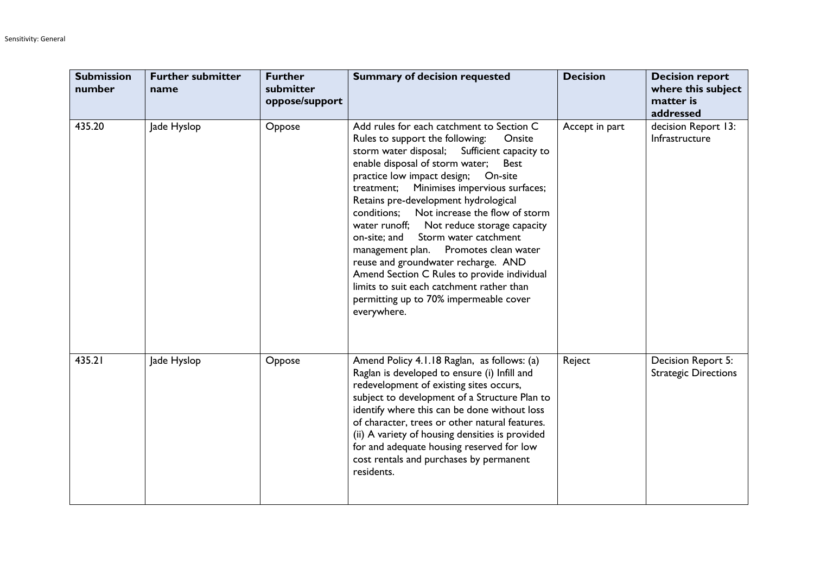| <b>Submission</b><br>number | <b>Further submitter</b><br>name | <b>Further</b><br>submitter<br>oppose/support | <b>Summary of decision requested</b>                                                                                                                                                                                                                                                                                                                                                                                                                                                                                                                                                                                                                                                             | <b>Decision</b> | <b>Decision report</b><br>where this subject<br>matter is<br>addressed |
|-----------------------------|----------------------------------|-----------------------------------------------|--------------------------------------------------------------------------------------------------------------------------------------------------------------------------------------------------------------------------------------------------------------------------------------------------------------------------------------------------------------------------------------------------------------------------------------------------------------------------------------------------------------------------------------------------------------------------------------------------------------------------------------------------------------------------------------------------|-----------------|------------------------------------------------------------------------|
| 435.20                      | Jade Hyslop                      | Oppose                                        | Add rules for each catchment to Section C<br>Rules to support the following:<br>Onsite<br>storm water disposal; Sufficient capacity to<br>enable disposal of storm water;<br><b>Best</b><br>practice low impact design; On-site<br>Minimises impervious surfaces;<br>treatment;<br>Retains pre-development hydrological<br>conditions; Not increase the flow of storm<br>water runoff; Not reduce storage capacity<br>on-site; and Storm water catchment<br>Promotes clean water<br>management plan.<br>reuse and groundwater recharge. AND<br>Amend Section C Rules to provide individual<br>limits to suit each catchment rather than<br>permitting up to 70% impermeable cover<br>everywhere. | Accept in part  | decision Report 13:<br>Infrastructure                                  |
| 435.21                      | Jade Hyslop                      | Oppose                                        | Amend Policy 4.1.18 Raglan, as follows: (a)<br>Raglan is developed to ensure (i) Infill and<br>redevelopment of existing sites occurs,<br>subject to development of a Structure Plan to<br>identify where this can be done without loss<br>of character, trees or other natural features.<br>(ii) A variety of housing densities is provided<br>for and adequate housing reserved for low<br>cost rentals and purchases by permanent<br>residents.                                                                                                                                                                                                                                               | Reject          | Decision Report 5:<br><b>Strategic Directions</b>                      |